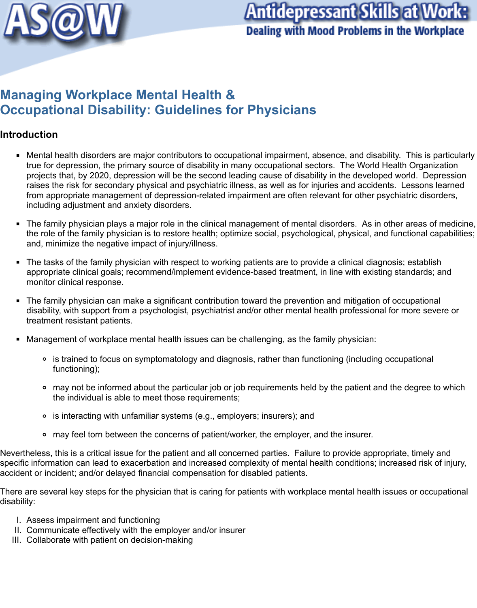

# **Antidepressant Skills at Worl Dealing with Mood Problems in the Workplace**

## **Managing Workplace Mental Health & Occupational Disability: Guidelines for Physicians**

## **Introduction**

- Mental health disorders are major contributors to occupational impairment, absence, and disability. This is particularly  $\blacksquare$ true for depression, the primary source of disability in many occupational sectors. The World Health Organization projects that, by 2020, depression will be the second leading cause of disability in the developed world. Depression raises the risk for secondary physical and psychiatric illness, as well as for injuries and accidents. Lessons learned from appropriate management of depression-related impairment are often relevant for other psychiatric disorders, including adjustment and anxiety disorders.
- The family physician plays a major role in the clinical management of mental disorders. As in other areas of medicine,  $\blacksquare$ the role of the family physician is to restore health; optimize social, psychological, physical, and functional capabilities; and, minimize the negative impact of injury/illness.
- The tasks of the family physician with respect to working patients are to provide a clinical diagnosis; establish  $\blacksquare$ appropriate clinical goals; recommend/implement evidence-based treatment, in line with existing standards; and monitor clinical response.
- The family physician can make a significant contribution toward the prevention and mitigation of occupational  $\blacksquare$ disability, with support from a psychologist, psychiatrist and/or other mental health professional for more severe or treatment resistant patients.
- Management of workplace mental health issues can be challenging, as the family physician:
	- is trained to focus on symptomatology and diagnosis, rather than functioning (including occupational functioning);
	- o may not be informed about the particular job or job requirements held by the patient and the degree to which the individual is able to meet those requirements;
	- is interacting with unfamiliar systems (e.g., employers; insurers); and
	- may feel torn between the concerns of patient/worker, the employer, and the insurer.

Nevertheless, this is a critical issue for the patient and all concerned parties. Failure to provide appropriate, timely and specific information can lead to exacerbation and increased complexity of mental health conditions; increased risk of injury, accident or incident; and/or delayed financial compensation for disabled patients.

There are several key steps for the physician that is caring for patients with workplace mental health issues or occupational disability:

- I. Assess impairment and functioning
- II. Communicate effectively with the employer and/or insurer
- III. Collaborate with patient on decision-making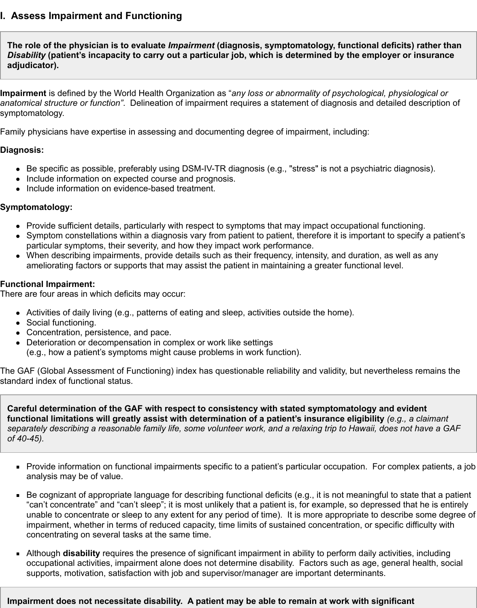## **I. Assess Impairment and Functioning**

**The role of the physician is to evaluate** *Impairment* **(diagnosis, symptomatology, functional deficits) rather than** *Disability* **(patient's incapacity to carry out a particular job, which is determined by the employer or insurance adjudicator).**

**Impairment** is defined by the World Health Organization as "*any loss or abnormality of psychological, physiological or anatomical structure or function"*. Delineation of impairment requires a statement of diagnosis and detailed description of symptomatology.

Family physicians have expertise in assessing and documenting degree of impairment, including:

#### **Diagnosis:**

- Be specific as possible, preferably using DSM-IV-TR diagnosis (e.g., "stress" is not a psychiatric diagnosis).
- Include information on expected course and prognosis.
- Include information on evidence-based treatment.

#### **Symptomatology:**

- Provide sufficient details, particularly with respect to symptoms that may impact occupational functioning.
- Symptom constellations within a diagnosis vary from patient to patient, therefore it is important to specify a patient's particular symptoms, their severity, and how they impact work performance.
- When describing impairments, provide details such as their frequency, intensity, and duration, as well as any ameliorating factors or supports that may assist the patient in maintaining a greater functional level.

#### **Functional Impairment:**

There are four areas in which deficits may occur:

- Activities of daily living (e.g., patterns of eating and sleep, activities outside the home).
- Social functioning.
- Concentration, persistence, and pace.
- Deterioration or decompensation in complex or work like settings (e.g., how a patient's symptoms might cause problems in work function).

The GAF (Global Assessment of Functioning) index has questionable reliability and validity, but nevertheless remains the standard index of functional status.

**Careful determination of the GAF with respect to consistency with stated symptomatology and evident functional limitations will greatly assist with determination of a patient's insurance eligibility** *(e.g., a claimant separately describing a reasonable family life, some volunteer work, and a relaxing trip to Hawaii, does not have a GAF of 40-45).*

- **Provide information on functional impairments specific to a patient's particular occupation. For complex patients, a job** analysis may be of value.
- Be cognizant of appropriate language for describing functional deficits (e.g., it is not meaningful to state that a patient  $\blacksquare$ "can't concentrate" and "can't sleep"; it is most unlikely that a patient is, for example, so depressed that he is entirely unable to concentrate or sleep to any extent for any period of time). It is more appropriate to describe some degree of impairment, whether in terms of reduced capacity, time limits of sustained concentration, or specific difficulty with concentrating on several tasks at the same time.
- Although **disability** requires the presence of significant impairment in ability to perform daily activities, including occupational activities, impairment alone does not determine disability. Factors such as age, general health, social supports, motivation, satisfaction with job and supervisor/manager are important determinants.

#### **Impairment does not necessitate disability. A patient may be able to remain at work with significant**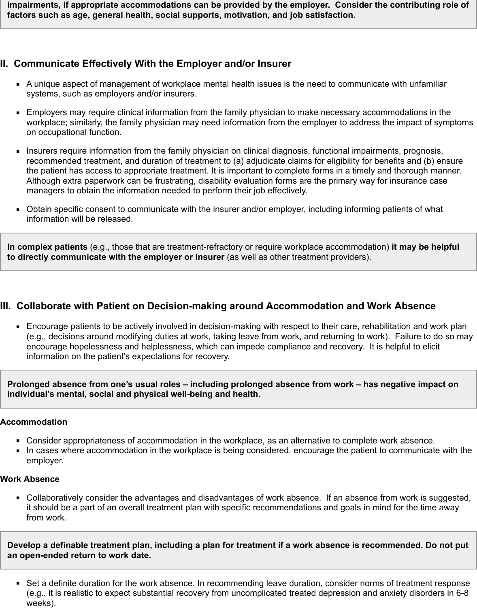**impairments, if appropriate accommodations can be provided by the employer. Consider the contributing role of factors such as age, general health, social supports, motivation, and job satisfaction.**

## **II. Communicate Effectively With the Employer and/or Insurer**

- A unique aspect of management of workplace mental health issues is the need to communicate with unfamiliar systems, such as employers and/or insurers.
- Employers may require clinical information from the family physician to make necessary accommodations in the workplace; similarly, the family physician may need information from the employer to address the impact of symptoms on occupational function.
- Insurers require information from the family physician on clinical diagnosis, functional impairments, prognosis,  $\blacksquare$ recommended treatment, and duration of treatment to (a) adjudicate claims for eligibility for benefits and (b) ensure the patient has access to appropriate treatment. It is important to complete forms in a timely and thorough manner. Although extra paperwork can be frustrating, disability evaluation forms are the primary way for insurance case managers to obtain the information needed to perform their job effectively.
- Obtain specific consent to communicate with the insurer and/or employer, including informing patients of what  $\blacksquare$ information will be released.

**In complex patients** (e.g., those that are treatment-refractory or require workplace accommodation) **it may be helpful to directly communicate with the employer or insurer** (as well as other treatment providers).

## **III. Collaborate with Patient on Decision-making around Accommodation and Work Absence**

Encourage patients to be actively involved in decision-making with respect to their care, rehabilitation and work plan (e.g., decisions around modifying duties at work, taking leave from work, and returning to work). Failure to do so may encourage hopelessness and helplessness, which can impede compliance and recovery. It is helpful to elicit information on the patient's expectations for recovery.

**Prolonged absence from one's usual roles – including prolonged absence from work – has negative impact on individual's mental, social and physical well-being and health.**

#### **Accommodation**

- Consider appropriateness of accommodation in the workplace, as an alternative to complete work absence.
- In cases where accommodation in the workplace is being considered, encourage the patient to communicate with the employer.

#### **Work Absence**

Collaboratively consider the advantages and disadvantages of work absence. If an absence from work is suggested, it should be a part of an overall treatment plan with specific recommendations and goals in mind for the time away from work.

**Develop a definable treatment plan, including a plan for treatment if a work absence is recommended. Do not put an open-ended return to work date.**

Set a definite duration for the work absence. In recommending leave duration, consider norms of treatment response (e.g., it is realistic to expect substantial recovery from uncomplicated treated depression and anxiety disorders in 6-8 weeks).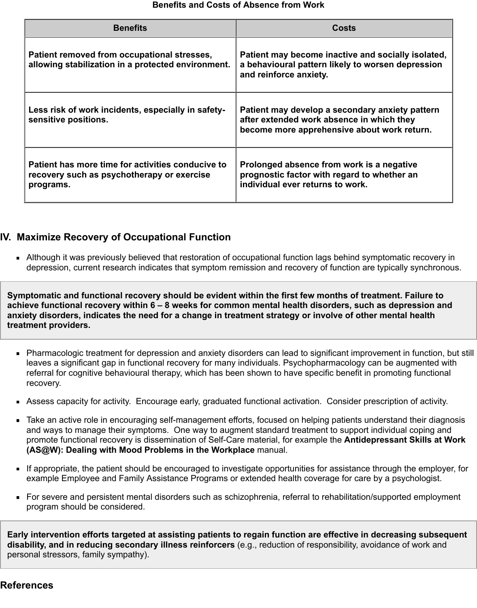| <b>Benefits</b>                                                                                              | <b>Costs</b>                                                                                                                                |
|--------------------------------------------------------------------------------------------------------------|---------------------------------------------------------------------------------------------------------------------------------------------|
| Patient removed from occupational stresses,<br>allowing stabilization in a protected environment.            | Patient may become inactive and socially isolated,<br>a behavioural pattern likely to worsen depression<br>and reinforce anxiety.           |
| Less risk of work incidents, especially in safety-<br>sensitive positions.                                   | Patient may develop a secondary anxiety pattern<br>after extended work absence in which they<br>become more apprehensive about work return. |
| Patient has more time for activities conducive to<br>recovery such as psychotherapy or exercise<br>programs. | Prolonged absence from work is a negative<br>prognostic factor with regard to whether an<br>individual ever returns to work.                |

## **IV. Maximize Recovery of Occupational Function**

Although it was previously believed that restoration of occupational function lags behind symptomatic recovery in depression, current research indicates that symptom remission and recovery of function are typically synchronous.

**Symptomatic and functional recovery should be evident within the first few months of treatment. Failure to achieve functional recovery within 6 – 8 weeks for common mental health disorders, such as depression and anxiety disorders, indicates the need for a change in treatment strategy or involve of other mental health treatment providers.**

- Pharmacologic treatment for depression and anxiety disorders can lead to significant improvement in function, but still leaves a significant gap in functional recovery for many individuals. Psychopharmacology can be augmented with referral for cognitive behavioural therapy, which has been shown to have specific benefit in promoting functional recovery.
- Assess capacity for activity. Encourage early, graduated functional activation. Consider prescription of activity.
- Take an active role in encouraging self-management efforts, focused on helping patients understand their diagnosis and ways to manage their symptoms. One way to augment standard treatment to support individual coping and promote functional recovery is dissemination of Self-Care material, for example the **Antidepressant Skills at Work (AS@W): Dealing with Mood Problems in the Workplace** manual.
- If appropriate, the patient should be encouraged to investigate opportunities for assistance through the employer, for example Employee and Family Assistance Programs or extended health coverage for care by a psychologist.
- For severe and persistent mental disorders such as schizophrenia, referral to rehabilitation/supported employment program should be considered.

**Early intervention efforts targeted at assisting patients to regain function are effective in decreasing subsequent disability, and in reducing secondary illness reinforcers** (e.g., reduction of responsibility, avoidance of work and personal stressors, family sympathy).

#### **References**